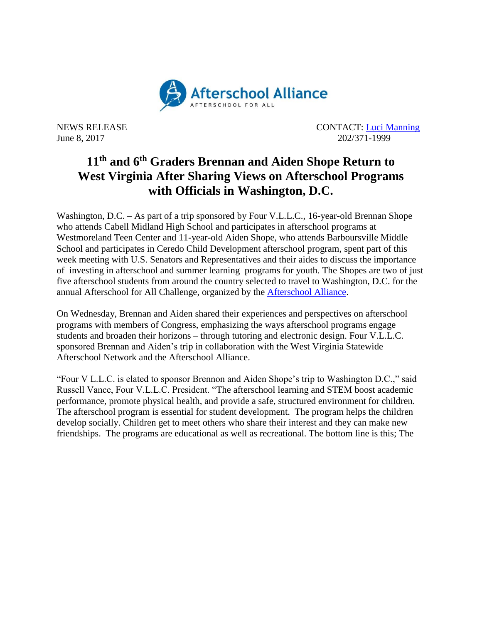

NEWS RELEASE CONTACT: [Luci Manning](mailto:luci@prsolutionsdc.com) June 8, 2017 202/371-1999

## **11th and 6th Graders Brennan and Aiden Shope Return to West Virginia After Sharing Views on Afterschool Programs with Officials in Washington, D.C.**

Washington, D.C. – As part of a trip sponsored by Four V.L.L.C., 16-year-old Brennan Shope who attends Cabell Midland High School and participates in afterschool programs at Westmoreland Teen Center and 11-year-old Aiden Shope, who attends Barboursville Middle School and participates in Ceredo Child Development afterschool program, spent part of this week meeting with U.S. Senators and Representatives and their aides to discuss the importance of investing in afterschool and summer learning programs for youth. The Shopes are two of just five afterschool students from around the country selected to travel to Washington, D.C. for the annual Afterschool for All Challenge, organized by the [Afterschool Alliance.](http://www.afterschoolalliance.org/)

On Wednesday, Brennan and Aiden shared their experiences and perspectives on afterschool programs with members of Congress, emphasizing the ways afterschool programs engage students and broaden their horizons – through tutoring and electronic design. Four V.L.L.C. sponsored Brennan and Aiden's trip in collaboration with the West Virginia Statewide Afterschool Network and the Afterschool Alliance.

"Four V L.L.C. is elated to sponsor Brennon and Aiden Shope's trip to Washington D.C.," said Russell Vance, Four V.L.L.C. President. "The afterschool learning and STEM boost academic performance, promote physical health, and provide a safe, structured environment for children. The afterschool program is essential for student development. The program helps the children develop socially. Children get to meet others who share their interest and they can make new friendships. The programs are educational as well as recreational. The bottom line is this; The